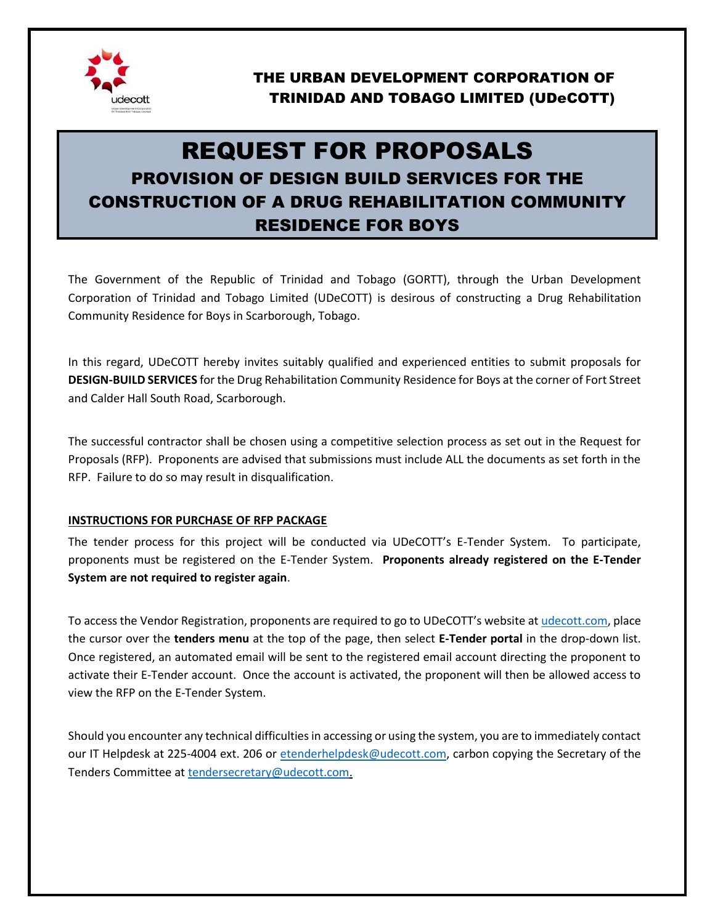

# REQUEST FOR PROPOSALS PROVISION OF DESIGN BUILD SERVICES FOR THE CONSTRUCTION OF A DRUG REHABILITATION COMMUNITY RESIDENCE FOR BOYS

The Government of the Republic of Trinidad and Tobago (GORTT), through the Urban Development Corporation of Trinidad and Tobago Limited (UDeCOTT) is desirous of constructing a Drug Rehabilitation Community Residence for Boys in Scarborough, Tobago.

In this regard, UDeCOTT hereby invites suitably qualified and experienced entities to submit proposals for **DESIGN-BUILD SERVICES** for the Drug Rehabilitation Community Residence for Boys at the corner of Fort Street and Calder Hall South Road, Scarborough.

The successful contractor shall be chosen using a competitive selection process as set out in the Request for Proposals (RFP). Proponents are advised that submissions must include ALL the documents as set forth in the RFP. Failure to do so may result in disqualification.

#### **INSTRUCTIONS FOR PURCHASE OF RFP PACKAGE**

The tender process for this project will be conducted via UDeCOTT's E-Tender System. To participate, proponents must be registered on the E-Tender System. **Proponents already registered on the E-Tender System are not required to register again**.

To access the Vendor Registration, proponents are required to go to UDeCOTT's website at [udecott.com,](http://www.udecott.com/) place the cursor over the **tenders menu** at the top of the page, then select **E-Tender portal** in the drop-down list. Once registered, an automated email will be sent to the registered email account directing the proponent to activate their E-Tender account. Once the account is activated, the proponent will then be allowed access to view the RFP on the E-Tender System.

Should you encounter any technical difficulties in accessing or using the system, you are to immediately contact our IT Helpdesk at 225-4004 ext. 206 or [etenderhelpdesk@udecott.com,](mailto:etenderhelpdesk@udecott.com) carbon copying the Secretary of the Tenders Committee at [tendersecretary@udecott.com.](mailto:tendersecretary@udecott.com)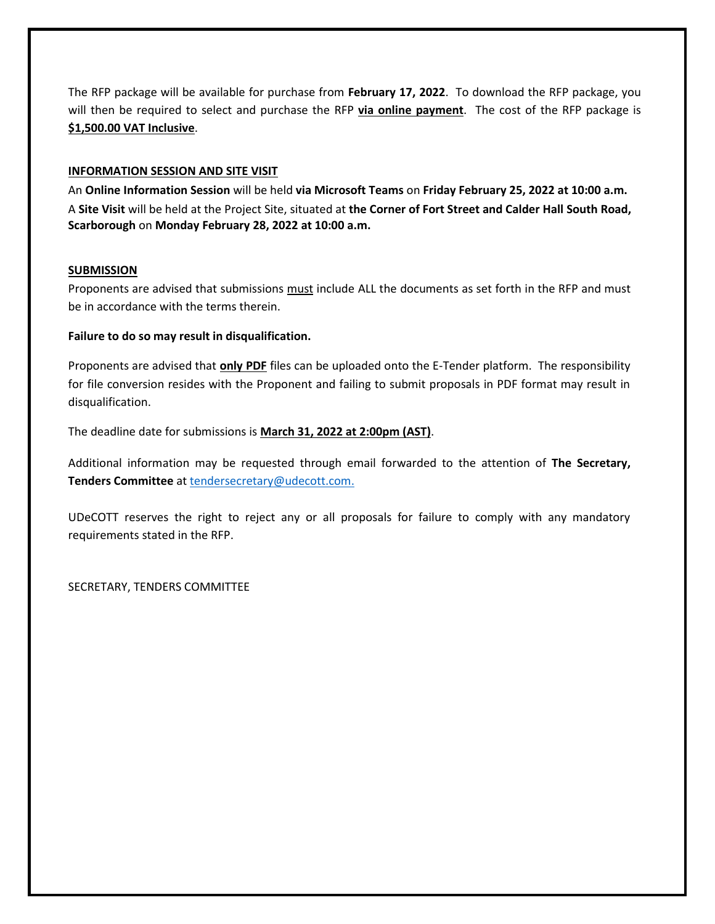The RFP package will be available for purchase from **February 17, 2022**. To download the RFP package, you will then be required to select and purchase the RFP **via online payment**. The cost of the RFP package is **\$1,500.00 VAT Inclusive**.

#### **INFORMATION SESSION AND SITE VISIT**

An **Online Information Session** will be held **via Microsoft Teams** on **Friday February 25, 2022 at 10:00 a.m.** A **Site Visit** will be held at the Project Site, situated at **the Corner of Fort Street and Calder Hall South Road, Scarborough** on **Monday February 28, 2022 at 10:00 a.m.**

#### **SUBMISSION**

Proponents are advised that submissions must include ALL the documents as set forth in the RFP and must be in accordance with the terms therein.

#### **Failure to do so may result in disqualification.**

Proponents are advised that **only PDF** files can be uploaded onto the E-Tender platform. The responsibility for file conversion resides with the Proponent and failing to submit proposals in PDF format may result in disqualification.

The deadline date for submissions is **March 31, 2022 at 2:00pm (AST)**.

Additional information may be requested through email forwarded to the attention of **The Secretary, Tenders Committee** a[t tendersecretary@udecott.com.](mailto:tendersecretary@udecott.com)

UDeCOTT reserves the right to reject any or all proposals for failure to comply with any mandatory requirements stated in the RFP.

SECRETARY, TENDERS COMMITTEE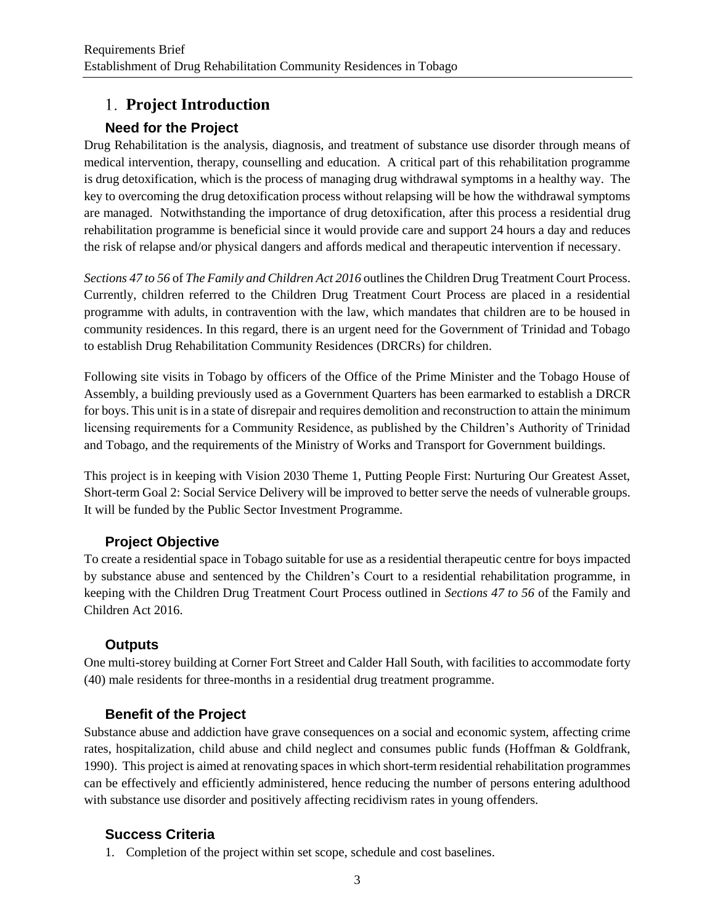# **Project Introduction**

# **Need for the Project**

Drug Rehabilitation is the analysis, diagnosis, and treatment of substance use disorder through means of medical intervention, therapy, counselling and education. A critical part of this rehabilitation programme is drug detoxification, which is the process of managing drug withdrawal symptoms in a healthy way. The key to overcoming the drug detoxification process without relapsing will be how the withdrawal symptoms are managed. Notwithstanding the importance of drug detoxification, after this process a residential drug rehabilitation programme is beneficial since it would provide care and support 24 hours a day and reduces the risk of relapse and/or physical dangers and affords medical and therapeutic intervention if necessary.

*Sections 47 to 56* of *The Family and Children Act 2016* outlines the Children Drug Treatment Court Process. Currently, children referred to the Children Drug Treatment Court Process are placed in a residential programme with adults, in contravention with the law, which mandates that children are to be housed in community residences. In this regard, there is an urgent need for the Government of Trinidad and Tobago to establish Drug Rehabilitation Community Residences (DRCRs) for children.

Following site visits in Tobago by officers of the Office of the Prime Minister and the Tobago House of Assembly, a building previously used as a Government Quarters has been earmarked to establish a DRCR for boys. This unit is in a state of disrepair and requires demolition and reconstruction to attain the minimum licensing requirements for a Community Residence, as published by the Children's Authority of Trinidad and Tobago, and the requirements of the Ministry of Works and Transport for Government buildings.

This project is in keeping with Vision 2030 Theme 1, Putting People First: Nurturing Our Greatest Asset, Short-term Goal 2: Social Service Delivery will be improved to better serve the needs of vulnerable groups. It will be funded by the Public Sector Investment Programme.

## **Project Objective**

To create a residential space in Tobago suitable for use as a residential therapeutic centre for boys impacted by substance abuse and sentenced by the Children's Court to a residential rehabilitation programme, in keeping with the Children Drug Treatment Court Process outlined in *Sections 47 to 56* of the Family and Children Act 2016.

## **Outputs**

One multi-storey building at Corner Fort Street and Calder Hall South, with facilities to accommodate forty (40) male residents for three-months in a residential drug treatment programme.

# **Benefit of the Project**

Substance abuse and addiction have grave consequences on a social and economic system, affecting crime rates, hospitalization, child abuse and child neglect and consumes public funds (Hoffman & Goldfrank, 1990). This project is aimed at renovating spaces in which short-term residential rehabilitation programmes can be effectively and efficiently administered, hence reducing the number of persons entering adulthood with substance use disorder and positively affecting recidivism rates in young offenders.

# **Success Criteria**

1. Completion of the project within set scope, schedule and cost baselines.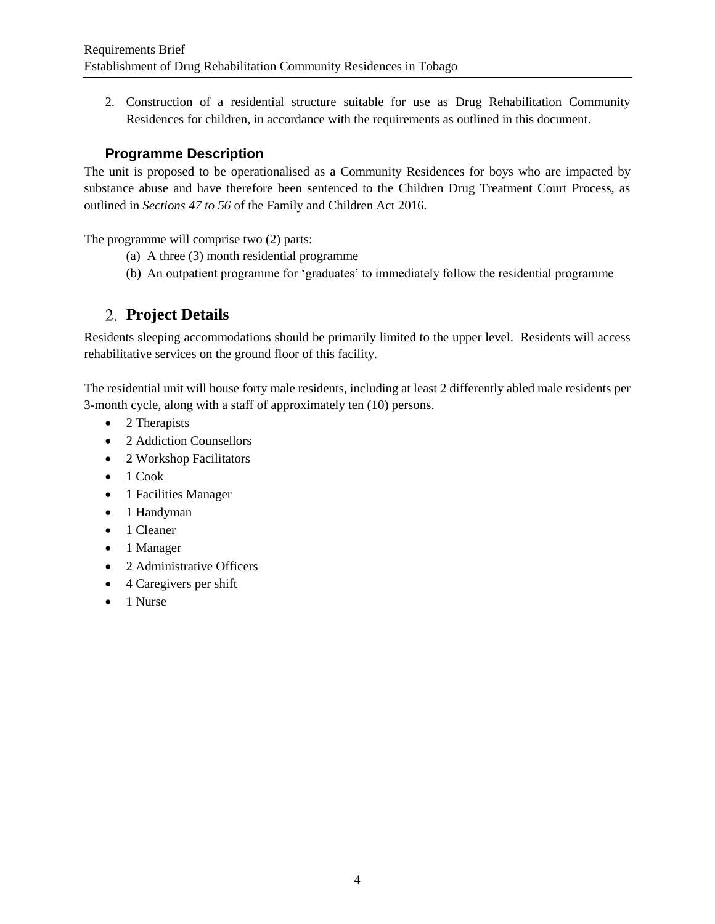2. Construction of a residential structure suitable for use as Drug Rehabilitation Community Residences for children, in accordance with the requirements as outlined in this document.

## **Programme Description**

The unit is proposed to be operationalised as a Community Residences for boys who are impacted by substance abuse and have therefore been sentenced to the Children Drug Treatment Court Process, as outlined in *Sections 47 to 56* of the Family and Children Act 2016.

The programme will comprise two (2) parts:

- (a) A three (3) month residential programme
- (b) An outpatient programme for 'graduates' to immediately follow the residential programme

# **Project Details**

Residents sleeping accommodations should be primarily limited to the upper level. Residents will access rehabilitative services on the ground floor of this facility.

The residential unit will house forty male residents, including at least 2 differently abled male residents per 3-month cycle, along with a staff of approximately ten (10) persons.

- 2 Therapists
- 2 Addiction Counsellors
- 2 Workshop Facilitators
- $\bullet$  1 Cook
- 1 Facilities Manager
- 1 Handyman
- 1 Cleaner
- 1 Manager
- 2 Administrative Officers
- 4 Caregivers per shift
- $\bullet$  1 Nurse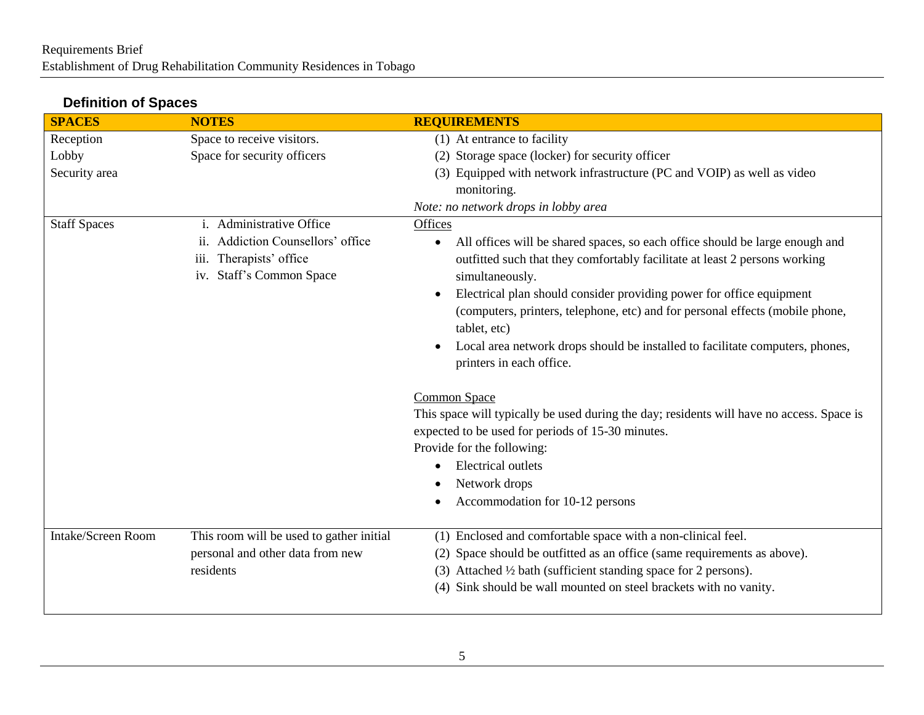# **Definition of Spaces**

| <b>SPACES</b>       | <b>NOTES</b>                                                                                                                  | <b>REQUIREMENTS</b>                                                                                                                                                                                                                                                                                                                                                                                                                                                          |
|---------------------|-------------------------------------------------------------------------------------------------------------------------------|------------------------------------------------------------------------------------------------------------------------------------------------------------------------------------------------------------------------------------------------------------------------------------------------------------------------------------------------------------------------------------------------------------------------------------------------------------------------------|
| Reception           | Space to receive visitors.                                                                                                    | (1) At entrance to facility                                                                                                                                                                                                                                                                                                                                                                                                                                                  |
| Lobby               | Space for security officers                                                                                                   | (2) Storage space (locker) for security officer                                                                                                                                                                                                                                                                                                                                                                                                                              |
| Security area       |                                                                                                                               | (3) Equipped with network infrastructure (PC and VOIP) as well as video                                                                                                                                                                                                                                                                                                                                                                                                      |
|                     |                                                                                                                               | monitoring.                                                                                                                                                                                                                                                                                                                                                                                                                                                                  |
|                     |                                                                                                                               | Note: no network drops in lobby area                                                                                                                                                                                                                                                                                                                                                                                                                                         |
| <b>Staff Spaces</b> | Administrative Office<br>1.<br>Addiction Counsellors' office<br>11.<br>Therapists' office<br>iii.<br>iv. Staff's Common Space | Offices<br>All offices will be shared spaces, so each office should be large enough and<br>$\bullet$<br>outfitted such that they comfortably facilitate at least 2 persons working<br>simultaneously.<br>Electrical plan should consider providing power for office equipment<br>$\bullet$<br>(computers, printers, telephone, etc) and for personal effects (mobile phone,<br>tablet, etc)<br>Local area network drops should be installed to facilitate computers, phones, |
|                     |                                                                                                                               | printers in each office.<br>Common Space<br>This space will typically be used during the day; residents will have no access. Space is<br>expected to be used for periods of 15-30 minutes.<br>Provide for the following:<br><b>Electrical outlets</b><br>$\bullet$<br>Network drops<br>Accommodation for 10-12 persons                                                                                                                                                       |
| Intake/Screen Room  | This room will be used to gather initial                                                                                      | (1) Enclosed and comfortable space with a non-clinical feel.                                                                                                                                                                                                                                                                                                                                                                                                                 |
|                     | personal and other data from new                                                                                              | Space should be outfitted as an office (same requirements as above).                                                                                                                                                                                                                                                                                                                                                                                                         |
|                     | residents                                                                                                                     | (3) Attached $\frac{1}{2}$ bath (sufficient standing space for 2 persons).                                                                                                                                                                                                                                                                                                                                                                                                   |
|                     |                                                                                                                               | (4) Sink should be wall mounted on steel brackets with no vanity.                                                                                                                                                                                                                                                                                                                                                                                                            |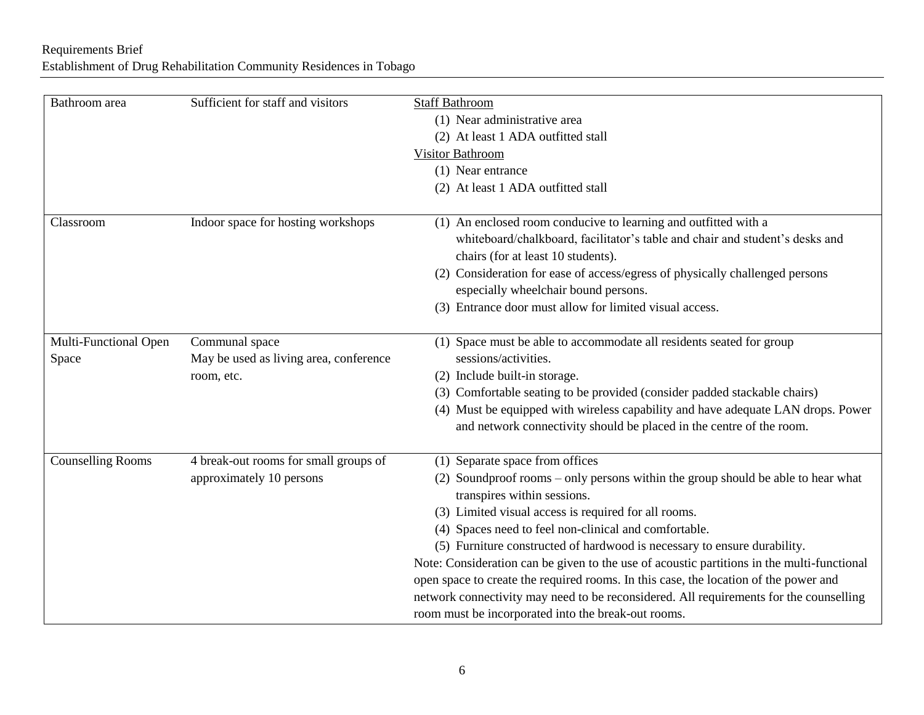# Requirements Brief Establishment of Drug Rehabilitation Community Residences in Tobago

| Bathroom area            | Sufficient for staff and visitors      | <b>Staff Bathroom</b>                                                                                           |
|--------------------------|----------------------------------------|-----------------------------------------------------------------------------------------------------------------|
|                          |                                        | (1) Near administrative area                                                                                    |
|                          |                                        | (2) At least 1 ADA outfitted stall                                                                              |
|                          |                                        | Visitor Bathroom                                                                                                |
|                          |                                        | (1) Near entrance                                                                                               |
|                          |                                        | (2) At least 1 ADA outfitted stall                                                                              |
|                          |                                        |                                                                                                                 |
| Classroom                | Indoor space for hosting workshops     | (1) An enclosed room conducive to learning and outfitted with a                                                 |
|                          |                                        | whiteboard/chalkboard, facilitator's table and chair and student's desks and                                    |
|                          |                                        | chairs (for at least 10 students).                                                                              |
|                          |                                        | (2) Consideration for ease of access/egress of physically challenged persons                                    |
|                          |                                        | especially wheelchair bound persons.                                                                            |
|                          |                                        | (3) Entrance door must allow for limited visual access.                                                         |
| Multi-Functional Open    | Communal space                         | (1) Space must be able to accommodate all residents seated for group                                            |
| Space                    | May be used as living area, conference | sessions/activities.                                                                                            |
|                          | room, etc.                             | (2) Include built-in storage.                                                                                   |
|                          |                                        | (3) Comfortable seating to be provided (consider padded stackable chairs)                                       |
|                          |                                        | (4) Must be equipped with wireless capability and have adequate LAN drops. Power                                |
|                          |                                        | and network connectivity should be placed in the centre of the room.                                            |
|                          |                                        |                                                                                                                 |
| <b>Counselling Rooms</b> | 4 break-out rooms for small groups of  | (1) Separate space from offices                                                                                 |
|                          | approximately 10 persons               | (2) Soundproof rooms – only persons within the group should be able to hear what<br>transpires within sessions. |
|                          |                                        | (3) Limited visual access is required for all rooms.                                                            |
|                          |                                        | (4) Spaces need to feel non-clinical and comfortable.                                                           |
|                          |                                        | (5) Furniture constructed of hardwood is necessary to ensure durability.                                        |
|                          |                                        | Note: Consideration can be given to the use of acoustic partitions in the multi-functional                      |
|                          |                                        | open space to create the required rooms. In this case, the location of the power and                            |
|                          |                                        | network connectivity may need to be reconsidered. All requirements for the counselling                          |
|                          |                                        | room must be incorporated into the break-out rooms.                                                             |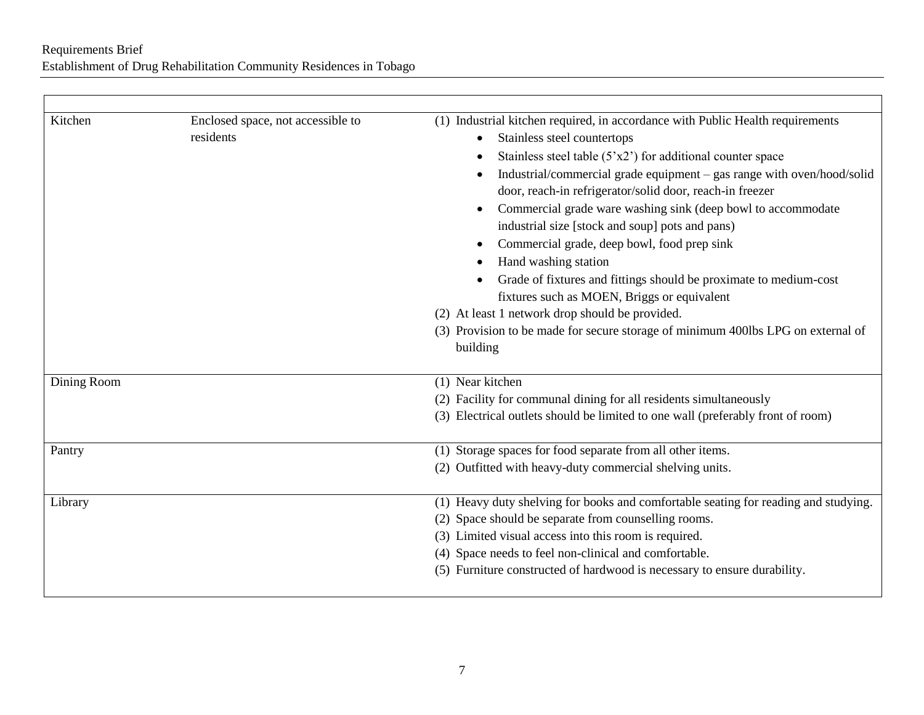| Kitchen     | Enclosed space, not accessible to | (1) Industrial kitchen required, in accordance with Public Health requirements                                                                                                                                                                                                                                                                                                                                                                                                                                                                                                                      |
|-------------|-----------------------------------|-----------------------------------------------------------------------------------------------------------------------------------------------------------------------------------------------------------------------------------------------------------------------------------------------------------------------------------------------------------------------------------------------------------------------------------------------------------------------------------------------------------------------------------------------------------------------------------------------------|
|             | residents                         | Stainless steel countertops                                                                                                                                                                                                                                                                                                                                                                                                                                                                                                                                                                         |
|             |                                   | Stainless steel table $(5'x2')$ for additional counter space                                                                                                                                                                                                                                                                                                                                                                                                                                                                                                                                        |
|             |                                   | Industrial/commercial grade equipment - gas range with oven/hood/solid<br>door, reach-in refrigerator/solid door, reach-in freezer<br>Commercial grade ware washing sink (deep bowl to accommodate<br>industrial size [stock and soup] pots and pans)<br>Commercial grade, deep bowl, food prep sink<br>Hand washing station<br>Grade of fixtures and fittings should be proximate to medium-cost<br>fixtures such as MOEN, Briggs or equivalent<br>(2) At least 1 network drop should be provided.<br>(3) Provision to be made for secure storage of minimum 400lbs LPG on external of<br>building |
|             |                                   | (1) Near kitchen                                                                                                                                                                                                                                                                                                                                                                                                                                                                                                                                                                                    |
| Dining Room |                                   | (2) Facility for communal dining for all residents simultaneously                                                                                                                                                                                                                                                                                                                                                                                                                                                                                                                                   |
|             |                                   | (3) Electrical outlets should be limited to one wall (preferably front of room)                                                                                                                                                                                                                                                                                                                                                                                                                                                                                                                     |
| Pantry      |                                   | (1) Storage spaces for food separate from all other items.                                                                                                                                                                                                                                                                                                                                                                                                                                                                                                                                          |
|             |                                   | (2) Outfitted with heavy-duty commercial shelving units.                                                                                                                                                                                                                                                                                                                                                                                                                                                                                                                                            |
| Library     |                                   | (1) Heavy duty shelving for books and comfortable seating for reading and studying.                                                                                                                                                                                                                                                                                                                                                                                                                                                                                                                 |
|             |                                   | (2) Space should be separate from counselling rooms.                                                                                                                                                                                                                                                                                                                                                                                                                                                                                                                                                |
|             |                                   | (3) Limited visual access into this room is required.                                                                                                                                                                                                                                                                                                                                                                                                                                                                                                                                               |
|             |                                   | (4) Space needs to feel non-clinical and comfortable.                                                                                                                                                                                                                                                                                                                                                                                                                                                                                                                                               |
|             |                                   | (5) Furniture constructed of hardwood is necessary to ensure durability.                                                                                                                                                                                                                                                                                                                                                                                                                                                                                                                            |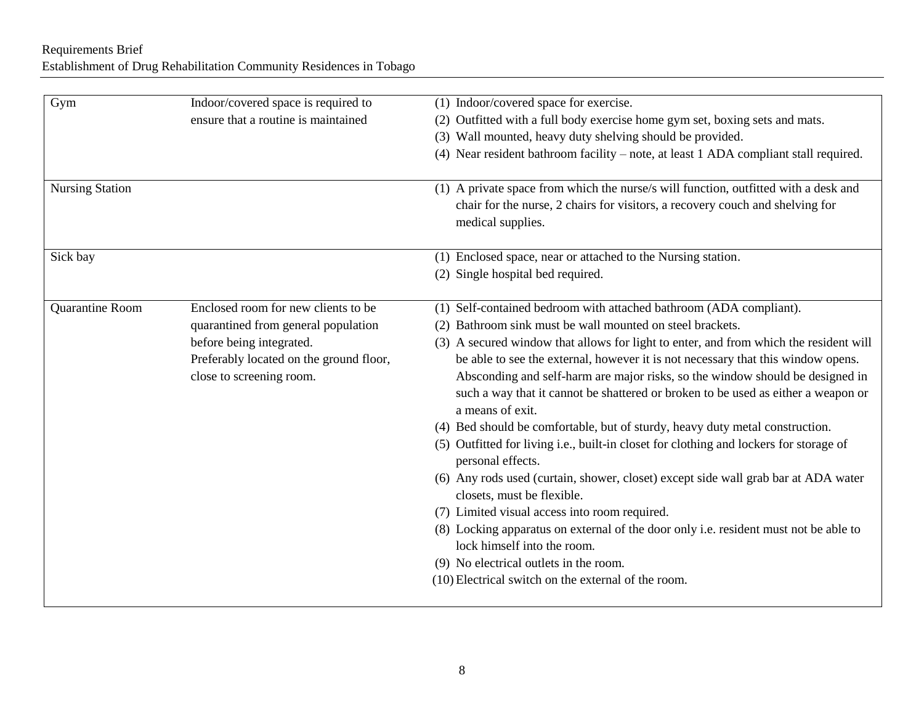# Requirements Brief Establishment of Drug Rehabilitation Community Residences in Tobago

| Gym                    | Indoor/covered space is required to     | (1) Indoor/covered space for exercise.                                                 |
|------------------------|-----------------------------------------|----------------------------------------------------------------------------------------|
|                        | ensure that a routine is maintained     | Outfitted with a full body exercise home gym set, boxing sets and mats.<br>(2)         |
|                        |                                         | (3) Wall mounted, heavy duty shelving should be provided.                              |
|                        |                                         | (4) Near resident bathroom facility – note, at least 1 ADA compliant stall required.   |
|                        |                                         |                                                                                        |
| <b>Nursing Station</b> |                                         | (1) A private space from which the nurse/s will function, outfitted with a desk and    |
|                        |                                         | chair for the nurse, 2 chairs for visitors, a recovery couch and shelving for          |
|                        |                                         | medical supplies.                                                                      |
| Sick bay               |                                         | (1) Enclosed space, near or attached to the Nursing station.                           |
|                        |                                         | (2) Single hospital bed required.                                                      |
|                        |                                         |                                                                                        |
| Quarantine Room        | Enclosed room for new clients to be     | (1) Self-contained bedroom with attached bathroom (ADA compliant).                     |
|                        | quarantined from general population     | Bathroom sink must be wall mounted on steel brackets.                                  |
|                        | before being integrated.                | (3) A secured window that allows for light to enter, and from which the resident will  |
|                        | Preferably located on the ground floor, | be able to see the external, however it is not necessary that this window opens.       |
|                        | close to screening room.                | Absconding and self-harm are major risks, so the window should be designed in          |
|                        |                                         | such a way that it cannot be shattered or broken to be used as either a weapon or      |
|                        |                                         | a means of exit.                                                                       |
|                        |                                         | (4) Bed should be comfortable, but of sturdy, heavy duty metal construction.           |
|                        |                                         | (5) Outfitted for living i.e., built-in closet for clothing and lockers for storage of |
|                        |                                         | personal effects.                                                                      |
|                        |                                         | (6) Any rods used (curtain, shower, closet) except side wall grab bar at ADA water     |
|                        |                                         | closets, must be flexible.                                                             |
|                        |                                         | (7) Limited visual access into room required.                                          |
|                        |                                         | (8) Locking apparatus on external of the door only i.e. resident must not be able to   |
|                        |                                         | lock himself into the room.                                                            |
|                        |                                         | (9) No electrical outlets in the room.                                                 |
|                        |                                         | (10) Electrical switch on the external of the room.                                    |
|                        |                                         |                                                                                        |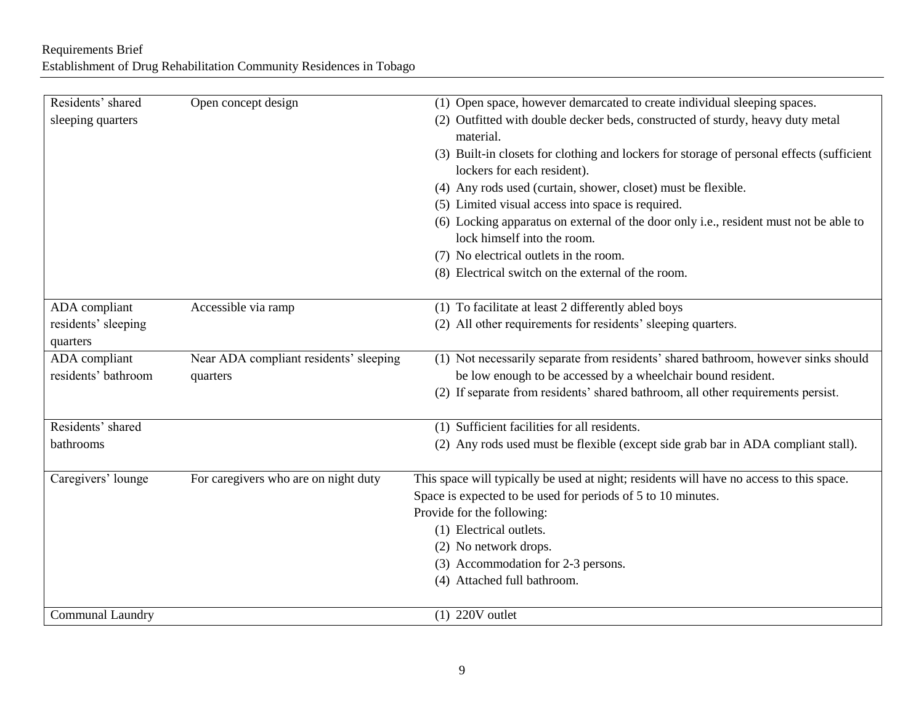# Requirements Brief Establishment of Drug Rehabilitation Community Residences in Tobago

| Residents' shared<br>sleeping quarters | Open concept design                    | (1) Open space, however demarcated to create individual sleeping spaces.<br>(2) Outfitted with double decker beds, constructed of sturdy, heavy duty metal |
|----------------------------------------|----------------------------------------|------------------------------------------------------------------------------------------------------------------------------------------------------------|
|                                        |                                        | material.                                                                                                                                                  |
|                                        |                                        | (3) Built-in closets for clothing and lockers for storage of personal effects (sufficient<br>lockers for each resident).                                   |
|                                        |                                        | (4) Any rods used (curtain, shower, closet) must be flexible.                                                                                              |
|                                        |                                        | (5) Limited visual access into space is required.                                                                                                          |
|                                        |                                        | (6) Locking apparatus on external of the door only i.e., resident must not be able to                                                                      |
|                                        |                                        | lock himself into the room.                                                                                                                                |
|                                        |                                        | (7) No electrical outlets in the room.                                                                                                                     |
|                                        |                                        | (8) Electrical switch on the external of the room.                                                                                                         |
| ADA compliant                          | Accessible via ramp                    | (1) To facilitate at least 2 differently abled boys                                                                                                        |
| residents' sleeping<br>quarters        |                                        | (2) All other requirements for residents' sleeping quarters.                                                                                               |
| ADA compliant                          | Near ADA compliant residents' sleeping | (1) Not necessarily separate from residents' shared bathroom, however sinks should                                                                         |
| residents' bathroom                    | quarters                               | be low enough to be accessed by a wheelchair bound resident.                                                                                               |
|                                        |                                        | (2) If separate from residents' shared bathroom, all other requirements persist.                                                                           |
| Residents' shared                      |                                        | (1) Sufficient facilities for all residents.                                                                                                               |
| bathrooms                              |                                        | (2) Any rods used must be flexible (except side grab bar in ADA compliant stall).                                                                          |
| Caregivers' lounge                     | For caregivers who are on night duty   | This space will typically be used at night; residents will have no access to this space.                                                                   |
|                                        |                                        | Space is expected to be used for periods of 5 to 10 minutes.                                                                                               |
|                                        |                                        | Provide for the following:                                                                                                                                 |
|                                        |                                        | (1) Electrical outlets.                                                                                                                                    |
|                                        |                                        | (2) No network drops.                                                                                                                                      |
|                                        |                                        | (3) Accommodation for 2-3 persons.                                                                                                                         |
|                                        |                                        | (4) Attached full bathroom.                                                                                                                                |
| <b>Communal Laundry</b>                |                                        | $(1)$ 220V outlet                                                                                                                                          |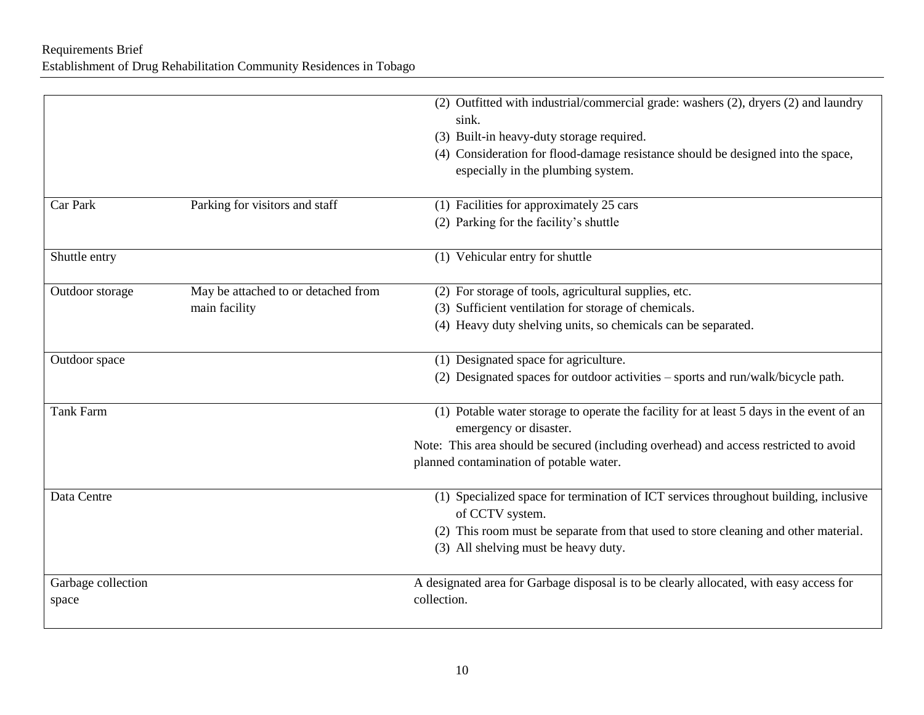|                    |                                     | (2) Outfitted with industrial/commercial grade: washers (2), dryers (2) and laundry                     |
|--------------------|-------------------------------------|---------------------------------------------------------------------------------------------------------|
|                    |                                     | sink.                                                                                                   |
|                    |                                     | (3) Built-in heavy-duty storage required.                                                               |
|                    |                                     | (4) Consideration for flood-damage resistance should be designed into the space,                        |
|                    |                                     | especially in the plumbing system.                                                                      |
| Car Park           | Parking for visitors and staff      | (1) Facilities for approximately 25 cars                                                                |
|                    |                                     | (2) Parking for the facility's shuttle                                                                  |
| Shuttle entry      |                                     | (1) Vehicular entry for shuttle                                                                         |
| Outdoor storage    | May be attached to or detached from | (2) For storage of tools, agricultural supplies, etc.                                                   |
|                    | main facility                       | (3) Sufficient ventilation for storage of chemicals.                                                    |
|                    |                                     | (4) Heavy duty shelving units, so chemicals can be separated.                                           |
| Outdoor space      |                                     | (1) Designated space for agriculture.                                                                   |
|                    |                                     | (2) Designated spaces for outdoor activities - sports and run/walk/bicycle path.                        |
| <b>Tank Farm</b>   |                                     | (1) Potable water storage to operate the facility for at least 5 days in the event of an                |
|                    |                                     | emergency or disaster.                                                                                  |
|                    |                                     | Note: This area should be secured (including overhead) and access restricted to avoid                   |
|                    |                                     | planned contamination of potable water.                                                                 |
| Data Centre        |                                     | (1) Specialized space for termination of ICT services throughout building, inclusive<br>of CCTV system. |
|                    |                                     | (2) This room must be separate from that used to store cleaning and other material.                     |
|                    |                                     | (3) All shelving must be heavy duty.                                                                    |
| Garbage collection |                                     | A designated area for Garbage disposal is to be clearly allocated, with easy access for                 |
| space              |                                     | collection.                                                                                             |
|                    |                                     |                                                                                                         |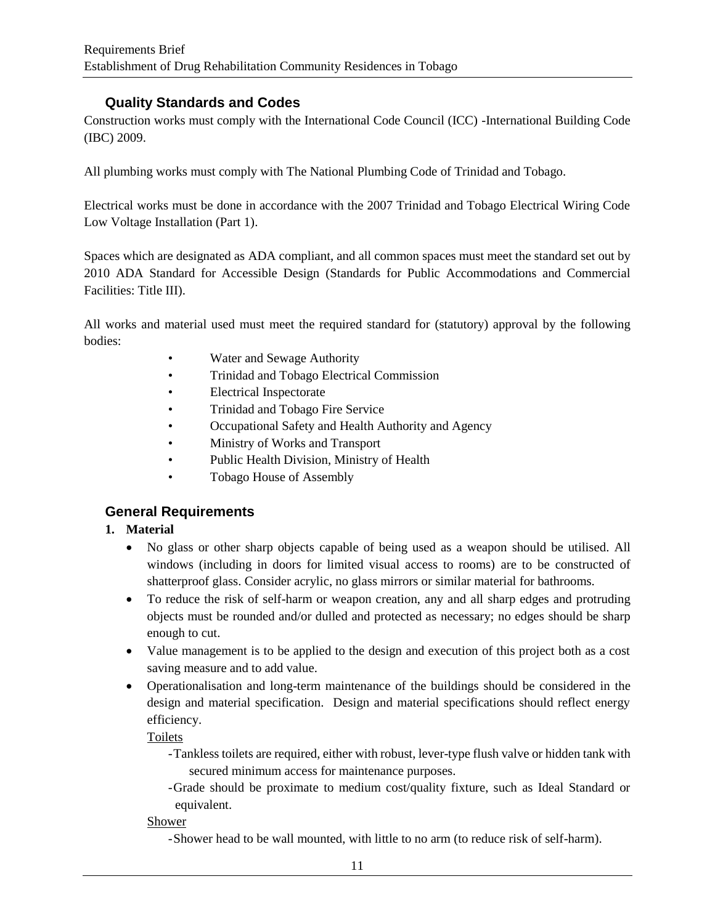## **Quality Standards and Codes**

Construction works must comply with the International Code Council (ICC) -International Building Code (IBC) 2009.

All plumbing works must comply with The National Plumbing Code of Trinidad and Tobago.

Electrical works must be done in accordance with the 2007 Trinidad and Tobago Electrical Wiring Code Low Voltage Installation (Part 1).

Spaces which are designated as ADA compliant, and all common spaces must meet the standard set out by 2010 ADA Standard for Accessible Design (Standards for Public Accommodations and Commercial Facilities: Title III).

All works and material used must meet the required standard for (statutory) approval by the following bodies:

- Water and Sewage Authority
- Trinidad and Tobago Electrical Commission
- Electrical Inspectorate
- Trinidad and Tobago Fire Service
- Occupational Safety and Health Authority and Agency
- Ministry of Works and Transport
- Public Health Division, Ministry of Health
- Tobago House of Assembly

### **General Requirements**

### **1. Material**

- No glass or other sharp objects capable of being used as a weapon should be utilised. All windows (including in doors for limited visual access to rooms) are to be constructed of shatterproof glass. Consider acrylic, no glass mirrors or similar material for bathrooms.
- To reduce the risk of self-harm or weapon creation, any and all sharp edges and protruding objects must be rounded and/or dulled and protected as necessary; no edges should be sharp enough to cut.
- Value management is to be applied to the design and execution of this project both as a cost saving measure and to add value.
- Operationalisation and long-term maintenance of the buildings should be considered in the design and material specification. Design and material specifications should reflect energy efficiency.

Toilets

- -Tankless toilets are required, either with robust, lever-type flush valve or hidden tank with secured minimum access for maintenance purposes.
- -Grade should be proximate to medium cost/quality fixture, such as Ideal Standard or equivalent.

### Shower

-Shower head to be wall mounted, with little to no arm (to reduce risk of self-harm).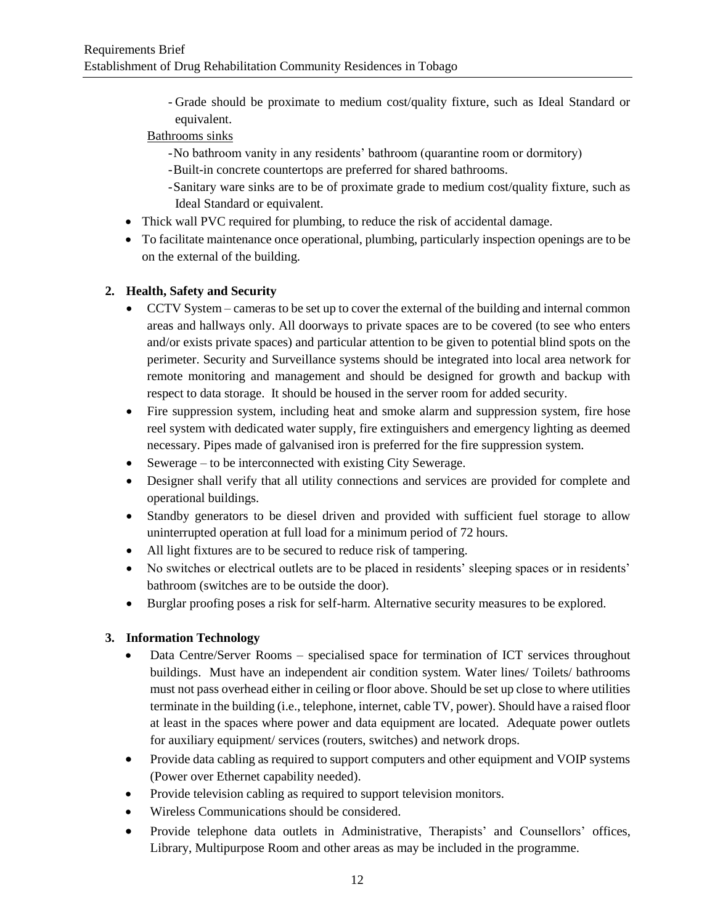- Grade should be proximate to medium cost/quality fixture, such as Ideal Standard or equivalent.

### Bathrooms sinks

- -No bathroom vanity in any residents' bathroom (quarantine room or dormitory)
- -Built-in concrete countertops are preferred for shared bathrooms.
- -Sanitary ware sinks are to be of proximate grade to medium cost/quality fixture, such as Ideal Standard or equivalent.
- Thick wall PVC required for plumbing, to reduce the risk of accidental damage.
- To facilitate maintenance once operational, plumbing, particularly inspection openings are to be on the external of the building.

### **2. Health, Safety and Security**

- CCTV System cameras to be set up to cover the external of the building and internal common areas and hallways only. All doorways to private spaces are to be covered (to see who enters and/or exists private spaces) and particular attention to be given to potential blind spots on the perimeter. Security and Surveillance systems should be integrated into local area network for remote monitoring and management and should be designed for growth and backup with respect to data storage. It should be housed in the server room for added security.
- Fire suppression system, including heat and smoke alarm and suppression system, fire hose reel system with dedicated water supply, fire extinguishers and emergency lighting as deemed necessary. Pipes made of galvanised iron is preferred for the fire suppression system.
- Sewerage to be interconnected with existing City Sewerage.
- Designer shall verify that all utility connections and services are provided for complete and operational buildings.
- Standby generators to be diesel driven and provided with sufficient fuel storage to allow uninterrupted operation at full load for a minimum period of 72 hours.
- All light fixtures are to be secured to reduce risk of tampering.
- No switches or electrical outlets are to be placed in residents' sleeping spaces or in residents' bathroom (switches are to be outside the door).
- Burglar proofing poses a risk for self-harm. Alternative security measures to be explored.

### **3. Information Technology**

- Data Centre/Server Rooms specialised space for termination of ICT services throughout buildings. Must have an independent air condition system. Water lines/ Toilets/ bathrooms must not pass overhead either in ceiling or floor above. Should be set up close to where utilities terminate in the building (i.e., telephone, internet, cable TV, power). Should have a raised floor at least in the spaces where power and data equipment are located. Adequate power outlets for auxiliary equipment/ services (routers, switches) and network drops.
- Provide data cabling as required to support computers and other equipment and VOIP systems (Power over Ethernet capability needed).
- Provide television cabling as required to support television monitors.
- Wireless Communications should be considered.
- Provide telephone data outlets in Administrative, Therapists' and Counsellors' offices, Library, Multipurpose Room and other areas as may be included in the programme.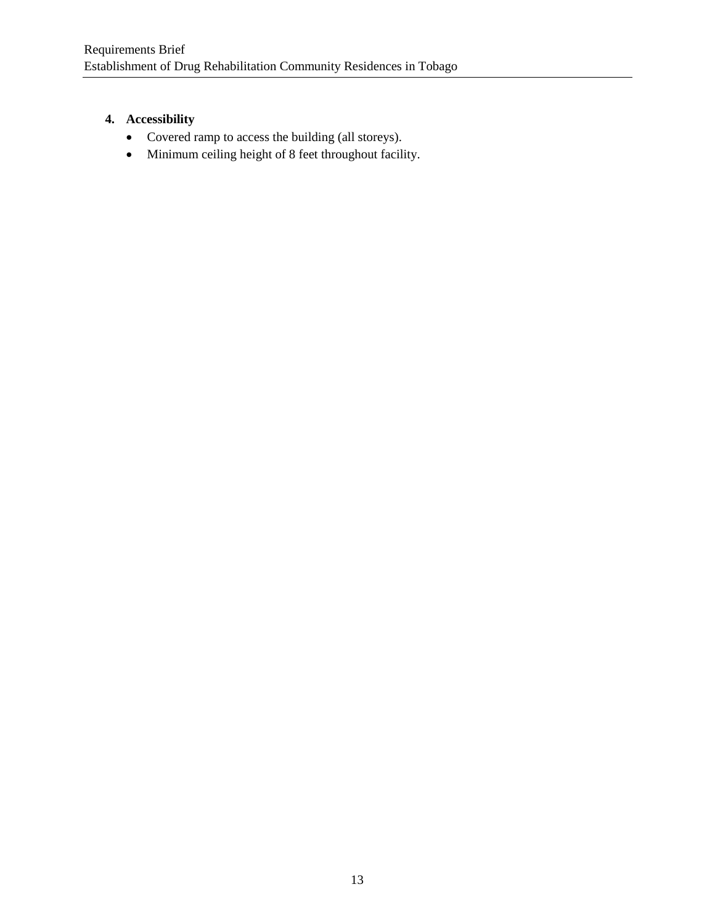# **4. Accessibility**

- Covered ramp to access the building (all storeys).
- Minimum ceiling height of 8 feet throughout facility.